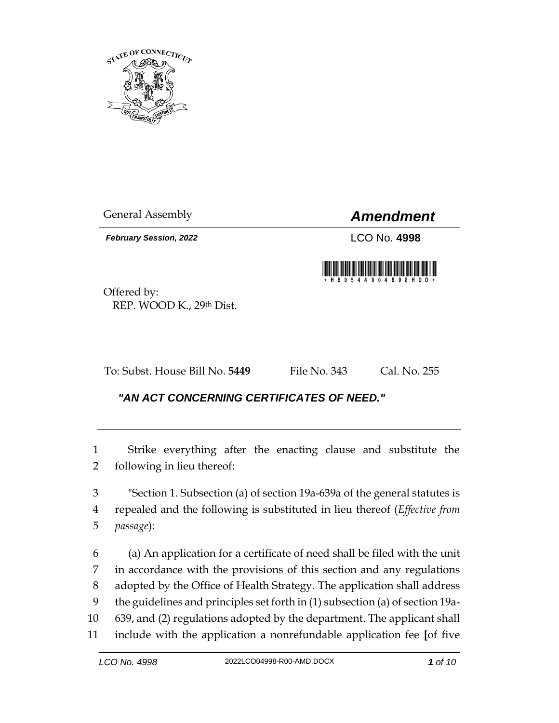

General Assembly *Amendment*

*February Session, 2022* LCO No. **4998**



Offered by: REP. WOOD K., 29th Dist.

To: Subst. House Bill No. **5449** File No. 343 Cal. No. 255

## *"AN ACT CONCERNING CERTIFICATES OF NEED."*

 Strike everything after the enacting clause and substitute the following in lieu thereof:

 "Section 1. Subsection (a) of section 19a-639a of the general statutes is repealed and the following is substituted in lieu thereof (*Effective from passage*):

 (a) An application for a certificate of need shall be filed with the unit in accordance with the provisions of this section and any regulations adopted by the Office of Health Strategy. The application shall address the guidelines and principles set forth in (1) subsection (a) of section 19a- 639, and (2) regulations adopted by the department. The applicant shall include with the application a nonrefundable application fee **[**of five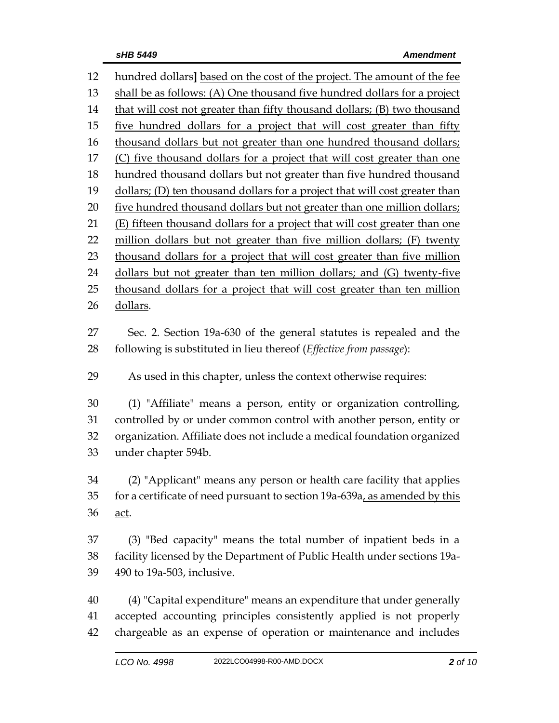hundred dollars**]** based on the cost of the project. The amount of the fee shall be as follows: (A) One thousand five hundred dollars for a project that will cost not greater than fifty thousand dollars; (B) two thousand five hundred dollars for a project that will cost greater than fifty 16 thousand dollars but not greater than one hundred thousand dollars; 17 (C) five thousand dollars for a project that will cost greater than one hundred thousand dollars but not greater than five hundred thousand dollars; (D) ten thousand dollars for a project that will cost greater than 20 five hundred thousand dollars but not greater than one million dollars; (E) fifteen thousand dollars for a project that will cost greater than one 22 million dollars but not greater than five million dollars; (F) twenty 23 thousand dollars for a project that will cost greater than five million 24 dollars but not greater than ten million dollars; and (G) twenty-five 25 thousand dollars for a project that will cost greater than ten million dollars. Sec. 2. Section 19a-630 of the general statutes is repealed and the following is substituted in lieu thereof (*Effective from passage*): As used in this chapter, unless the context otherwise requires: (1) "Affiliate" means a person, entity or organization controlling, controlled by or under common control with another person, entity or organization. Affiliate does not include a medical foundation organized under chapter 594b. (2) "Applicant" means any person or health care facility that applies 35 for a certificate of need pursuant to section 19a-639a, as amended by this act. (3) "Bed capacity" means the total number of inpatient beds in a facility licensed by the Department of Public Health under sections 19a- 490 to 19a-503, inclusive. (4) "Capital expenditure" means an expenditure that under generally accepted accounting principles consistently applied is not properly chargeable as an expense of operation or maintenance and includes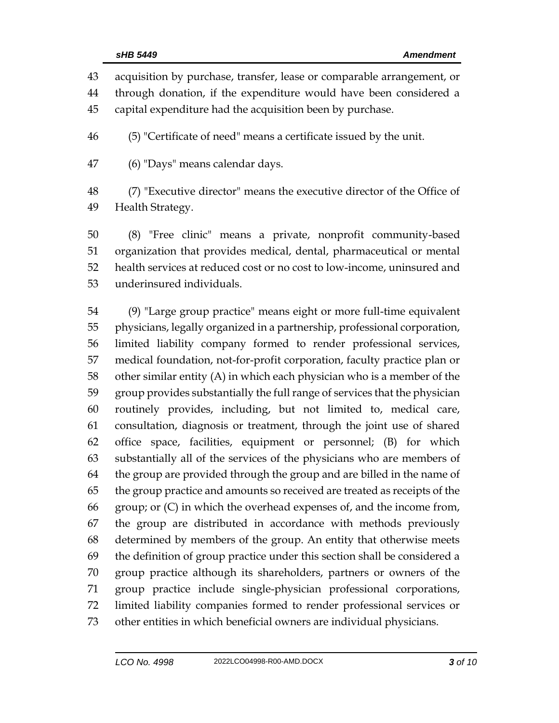| 43 | acquisition by purchase, transfer, lease or comparable arrangement, or |
|----|------------------------------------------------------------------------|
| 44 | through donation, if the expenditure would have been considered a      |
| 45 | capital expenditure had the acquisition been by purchase.              |
| 46 | (5) "Certificate of need" means a certificate issued by the unit.      |
| 47 | (6) "Days" means calendar days.                                        |
| 48 | (7) "Executive director" means the executive director of the Office of |
| 49 | Health Strategy.                                                       |

 (8) "Free clinic" means a private, nonprofit community-based organization that provides medical, dental, pharmaceutical or mental health services at reduced cost or no cost to low-income, uninsured and underinsured individuals.

 (9) "Large group practice" means eight or more full-time equivalent physicians, legally organized in a partnership, professional corporation, limited liability company formed to render professional services, medical foundation, not-for-profit corporation, faculty practice plan or other similar entity (A) in which each physician who is a member of the group provides substantially the full range of services that the physician routinely provides, including, but not limited to, medical care, consultation, diagnosis or treatment, through the joint use of shared office space, facilities, equipment or personnel; (B) for which substantially all of the services of the physicians who are members of the group are provided through the group and are billed in the name of the group practice and amounts so received are treated as receipts of the group; or (C) in which the overhead expenses of, and the income from, the group are distributed in accordance with methods previously determined by members of the group. An entity that otherwise meets the definition of group practice under this section shall be considered a group practice although its shareholders, partners or owners of the group practice include single-physician professional corporations, limited liability companies formed to render professional services or other entities in which beneficial owners are individual physicians.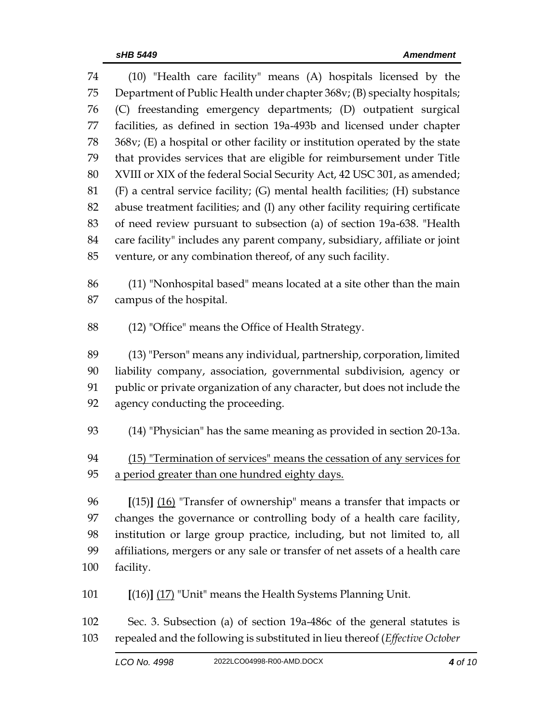| 74  | (10) "Health care facility" means (A) hospitals licensed by the              |
|-----|------------------------------------------------------------------------------|
| 75  | Department of Public Health under chapter 368v; (B) specialty hospitals;     |
| 76  | (C) freestanding emergency departments; (D) outpatient surgical              |
| 77  | facilities, as defined in section 19a-493b and licensed under chapter        |
| 78  | 368v; (E) a hospital or other facility or institution operated by the state  |
| 79  | that provides services that are eligible for reimbursement under Title       |
| 80  | XVIII or XIX of the federal Social Security Act, 42 USC 301, as amended;     |
| 81  | (F) a central service facility; (G) mental health facilities; (H) substance  |
| 82  | abuse treatment facilities; and (I) any other facility requiring certificate |
| 83  | of need review pursuant to subsection (a) of section 19a-638. "Health        |
| 84  | care facility" includes any parent company, subsidiary, affiliate or joint   |
| 85  | venture, or any combination thereof, of any such facility.                   |
| 86  | (11) "Nonhospital based" means located at a site other than the main         |
| 87  | campus of the hospital.                                                      |
| 88  | (12) "Office" means the Office of Health Strategy.                           |
| 89  | (13) "Person" means any individual, partnership, corporation, limited        |
| 90  | liability company, association, governmental subdivision, agency or          |
| 91  | public or private organization of any character, but does not include the    |
| 92  | agency conducting the proceeding.                                            |
| 93  | (14) "Physician" has the same meaning as provided in section 20-13a.         |
| 94  | (15) "Termination of services" means the cessation of any services for       |
| 95  | a period greater than one hundred eighty days.                               |
| 96  | $[(15)]$ $(16)$ "Transfer of ownership" means a transfer that impacts or     |
| 97  | changes the governance or controlling body of a health care facility,        |
| 98  | institution or large group practice, including, but not limited to, all      |
| 99  | affiliations, mergers or any sale or transfer of net assets of a health care |
| 100 | facility.                                                                    |
| 101 | [(16)] (17) "Unit" means the Health Systems Planning Unit.                   |
| 102 | Sec. 3. Subsection (a) of section 19a-486c of the general statutes is        |

repealed and the following is substituted in lieu thereof (*Effective October*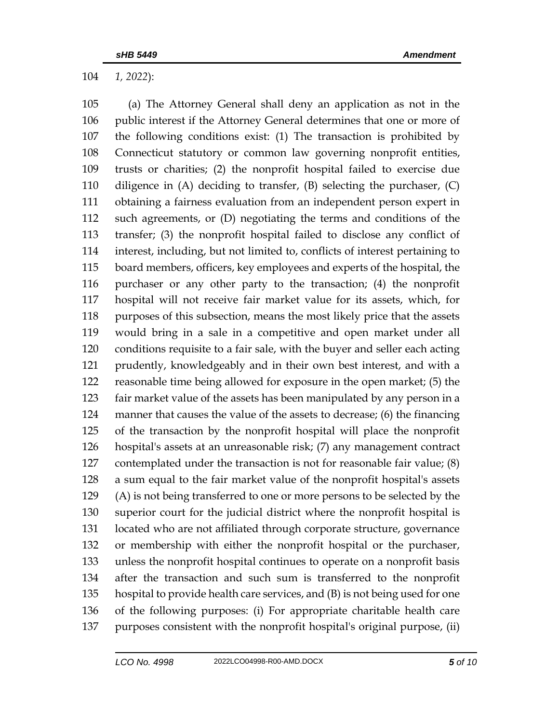*1, 2022*):

 (a) The Attorney General shall deny an application as not in the public interest if the Attorney General determines that one or more of the following conditions exist: (1) The transaction is prohibited by Connecticut statutory or common law governing nonprofit entities, trusts or charities; (2) the nonprofit hospital failed to exercise due diligence in (A) deciding to transfer, (B) selecting the purchaser, (C) obtaining a fairness evaluation from an independent person expert in such agreements, or (D) negotiating the terms and conditions of the transfer; (3) the nonprofit hospital failed to disclose any conflict of interest, including, but not limited to, conflicts of interest pertaining to board members, officers, key employees and experts of the hospital, the purchaser or any other party to the transaction; (4) the nonprofit hospital will not receive fair market value for its assets, which, for purposes of this subsection, means the most likely price that the assets would bring in a sale in a competitive and open market under all conditions requisite to a fair sale, with the buyer and seller each acting prudently, knowledgeably and in their own best interest, and with a reasonable time being allowed for exposure in the open market; (5) the fair market value of the assets has been manipulated by any person in a manner that causes the value of the assets to decrease; (6) the financing of the transaction by the nonprofit hospital will place the nonprofit hospital's assets at an unreasonable risk; (7) any management contract contemplated under the transaction is not for reasonable fair value; (8) a sum equal to the fair market value of the nonprofit hospital's assets (A) is not being transferred to one or more persons to be selected by the superior court for the judicial district where the nonprofit hospital is located who are not affiliated through corporate structure, governance or membership with either the nonprofit hospital or the purchaser, unless the nonprofit hospital continues to operate on a nonprofit basis after the transaction and such sum is transferred to the nonprofit hospital to provide health care services, and (B) is not being used for one of the following purposes: (i) For appropriate charitable health care purposes consistent with the nonprofit hospital's original purpose, (ii)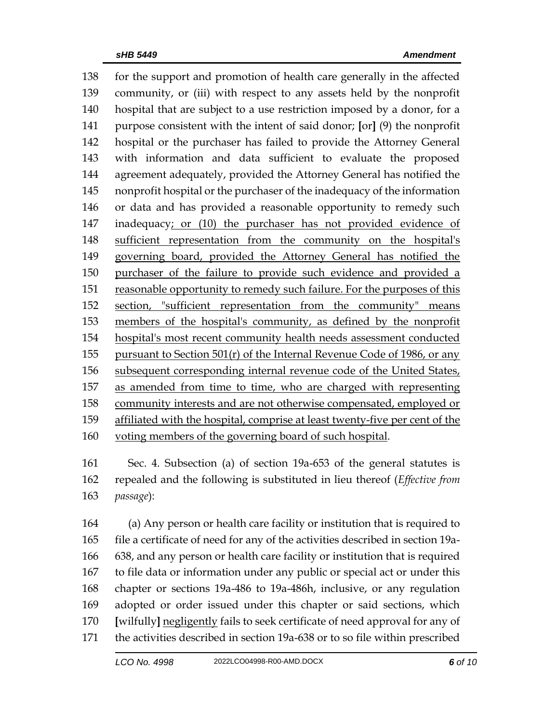for the support and promotion of health care generally in the affected community, or (iii) with respect to any assets held by the nonprofit hospital that are subject to a use restriction imposed by a donor, for a purpose consistent with the intent of said donor; **[**or**]** (9) the nonprofit hospital or the purchaser has failed to provide the Attorney General with information and data sufficient to evaluate the proposed agreement adequately, provided the Attorney General has notified the nonprofit hospital or the purchaser of the inadequacy of the information or data and has provided a reasonable opportunity to remedy such inadequacy; or (10) the purchaser has not provided evidence of sufficient representation from the community on the hospital's governing board, provided the Attorney General has notified the purchaser of the failure to provide such evidence and provided a reasonable opportunity to remedy such failure. For the purposes of this section, "sufficient representation from the community" means members of the hospital's community, as defined by the nonprofit hospital's most recent community health needs assessment conducted 155 pursuant to Section 501 $(r)$  of the Internal Revenue Code of 1986, or any subsequent corresponding internal revenue code of the United States, as amended from time to time, who are charged with representing community interests and are not otherwise compensated, employed or affiliated with the hospital, comprise at least twenty-five per cent of the voting members of the governing board of such hospital.

 Sec. 4. Subsection (a) of section 19a-653 of the general statutes is repealed and the following is substituted in lieu thereof (*Effective from passage*):

 (a) Any person or health care facility or institution that is required to file a certificate of need for any of the activities described in section 19a- 638, and any person or health care facility or institution that is required to file data or information under any public or special act or under this chapter or sections 19a-486 to 19a-486h, inclusive, or any regulation adopted or order issued under this chapter or said sections, which **[**wilfully**]** negligently fails to seek certificate of need approval for any of the activities described in section 19a-638 or to so file within prescribed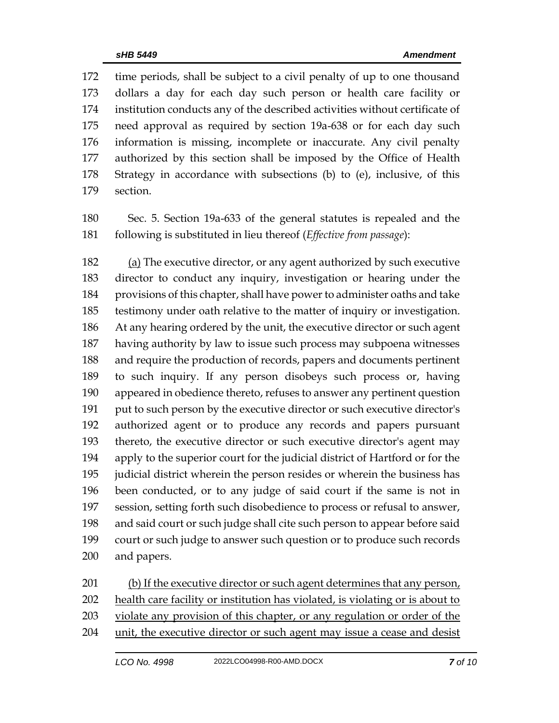time periods, shall be subject to a civil penalty of up to one thousand dollars a day for each day such person or health care facility or institution conducts any of the described activities without certificate of need approval as required by section 19a-638 or for each day such information is missing, incomplete or inaccurate. Any civil penalty authorized by this section shall be imposed by the Office of Health Strategy in accordance with subsections (b) to (e), inclusive, of this section.

 Sec. 5. Section 19a-633 of the general statutes is repealed and the following is substituted in lieu thereof (*Effective from passage*):

 (a) The executive director, or any agent authorized by such executive director to conduct any inquiry, investigation or hearing under the provisions of this chapter, shall have power to administer oaths and take testimony under oath relative to the matter of inquiry or investigation. At any hearing ordered by the unit, the executive director or such agent having authority by law to issue such process may subpoena witnesses and require the production of records, papers and documents pertinent to such inquiry. If any person disobeys such process or, having appeared in obedience thereto, refuses to answer any pertinent question put to such person by the executive director or such executive director's authorized agent or to produce any records and papers pursuant thereto, the executive director or such executive director's agent may apply to the superior court for the judicial district of Hartford or for the judicial district wherein the person resides or wherein the business has been conducted, or to any judge of said court if the same is not in session, setting forth such disobedience to process or refusal to answer, and said court or such judge shall cite such person to appear before said court or such judge to answer such question or to produce such records and papers.

(b) If the executive director or such agent determines that any person,

health care facility or institution has violated, is violating or is about to

violate any provision of this chapter, or any regulation or order of the

unit, the executive director or such agent may issue a cease and desist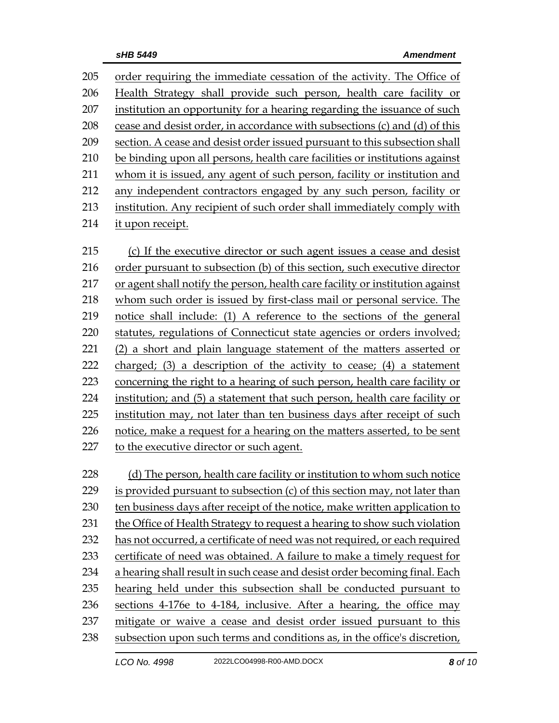order requiring the immediate cessation of the activity. The Office of Health Strategy shall provide such person, health care facility or 207 institution an opportunity for a hearing regarding the issuance of such cease and desist order, in accordance with subsections (c) and (d) of this section. A cease and desist order issued pursuant to this subsection shall be binding upon all persons, health care facilities or institutions against whom it is issued, any agent of such person, facility or institution and any independent contractors engaged by any such person, facility or institution. Any recipient of such order shall immediately comply with it upon receipt. (c) If the executive director or such agent issues a cease and desist

 order pursuant to subsection (b) of this section, such executive director or agent shall notify the person, health care facility or institution against whom such order is issued by first-class mail or personal service. The notice shall include: (1) A reference to the sections of the general statutes, regulations of Connecticut state agencies or orders involved; (2) a short and plain language statement of the matters asserted or charged; (3) a description of the activity to cease; (4) a statement concerning the right to a hearing of such person, health care facility or institution; and (5) a statement that such person, health care facility or institution may, not later than ten business days after receipt of such notice, make a request for a hearing on the matters asserted, to be sent to the executive director or such agent.

228 (d) The person, health care facility or institution to whom such notice is provided pursuant to subsection (c) of this section may, not later than ten business days after receipt of the notice, make written application to the Office of Health Strategy to request a hearing to show such violation has not occurred, a certificate of need was not required, or each required certificate of need was obtained. A failure to make a timely request for a hearing shall result in such cease and desist order becoming final. Each hearing held under this subsection shall be conducted pursuant to sections 4-176e to 4-184, inclusive. After a hearing, the office may mitigate or waive a cease and desist order issued pursuant to this subsection upon such terms and conditions as, in the office's discretion,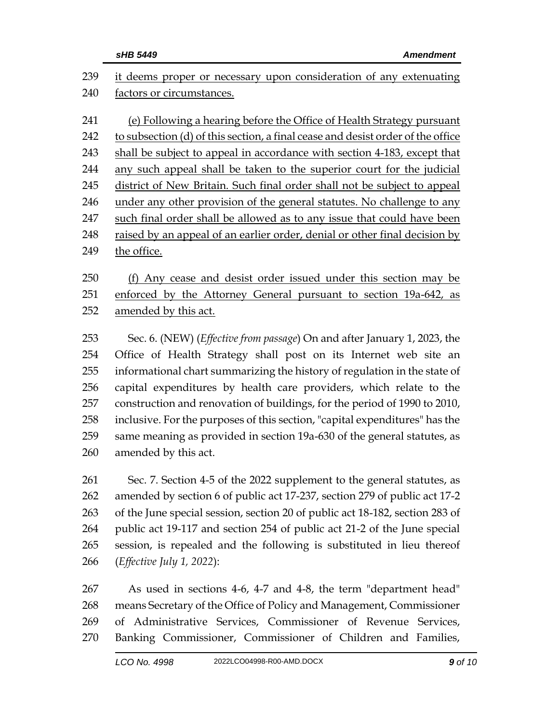| 239                                                  | it deems proper or necessary upon consideration of any extenuating                                                                                                                                                                                                                                                                                                                                                                                                                                                                                                      |  |  |  |
|------------------------------------------------------|-------------------------------------------------------------------------------------------------------------------------------------------------------------------------------------------------------------------------------------------------------------------------------------------------------------------------------------------------------------------------------------------------------------------------------------------------------------------------------------------------------------------------------------------------------------------------|--|--|--|
| 240                                                  | factors or circumstances.                                                                                                                                                                                                                                                                                                                                                                                                                                                                                                                                               |  |  |  |
| 241<br>242<br>243<br>244<br>245<br>246<br>247        | (e) Following a hearing before the Office of Health Strategy pursuant<br>to subsection (d) of this section, a final cease and desist order of the office<br>shall be subject to appeal in accordance with section 4-183, except that<br>any such appeal shall be taken to the superior court for the judicial<br>district of New Britain. Such final order shall not be subject to appeal<br>under any other provision of the general statutes. No challenge to any<br>such final order shall be allowed as to any issue that could have been                           |  |  |  |
| 248<br>249                                           | raised by an appeal of an earlier order, denial or other final decision by                                                                                                                                                                                                                                                                                                                                                                                                                                                                                              |  |  |  |
| 250<br>251<br>252                                    | the office.<br>(f) Any cease and desist order issued under this section may be<br>enforced by the Attorney General pursuant to section 19a-642, as<br>amended by this act.                                                                                                                                                                                                                                                                                                                                                                                              |  |  |  |
| 253<br>254<br>255<br>256<br>257<br>258<br>259<br>260 | Sec. 6. (NEW) ( <i>Effective from passage</i> ) On and after January 1, 2023, the<br>Office of Health Strategy shall post on its Internet web site an<br>informational chart summarizing the history of regulation in the state of<br>capital expenditures by health care providers, which relate to the<br>construction and renovation of buildings, for the period of 1990 to 2010,<br>inclusive. For the purposes of this section, "capital expenditures" has the<br>same meaning as provided in section 19a-630 of the general statutes, as<br>amended by this act. |  |  |  |
| 261<br>262<br>263<br>264<br>265<br>266               | Sec. 7. Section 4-5 of the 2022 supplement to the general statutes, as<br>amended by section 6 of public act 17-237, section 279 of public act 17-2<br>of the June special session, section 20 of public act 18-182, section 283 of<br>public act 19-117 and section 254 of public act 21-2 of the June special<br>session, is repealed and the following is substituted in lieu thereof<br>( <i>Effective July 1, 2022</i> ):                                                                                                                                          |  |  |  |
| 267                                                  | As used in sections 4-6, 4-7 and 4-8, the term "department head"                                                                                                                                                                                                                                                                                                                                                                                                                                                                                                        |  |  |  |

 means Secretary of the Office of Policy and Management, Commissioner of Administrative Services, Commissioner of Revenue Services, Banking Commissioner, Commissioner of Children and Families,